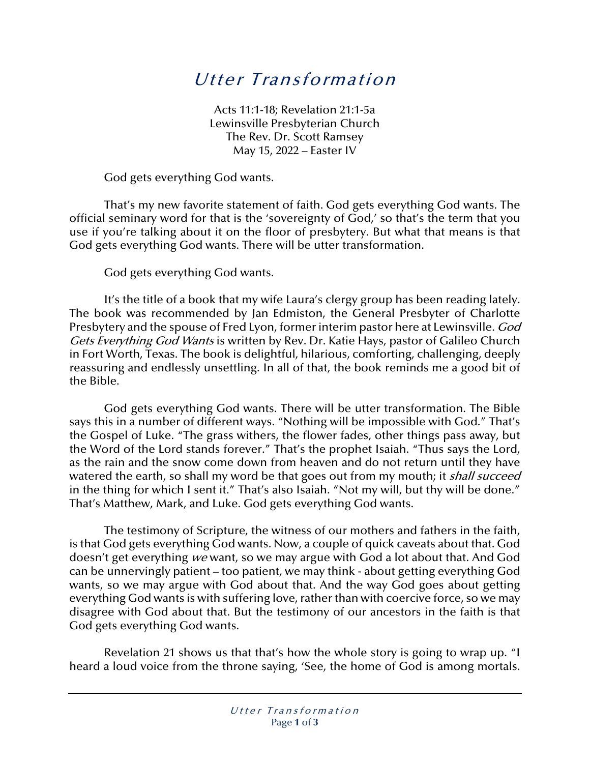## Utter Transformation

Acts 11:1-18; Revelation 21:1-5a Lewinsville Presbyterian Church The Rev. Dr. Scott Ramsey May 15, 2022 – Easter IV

God gets everything God wants.

That's my new favorite statement of faith. God gets everything God wants. The official seminary word for that is the 'sovereignty of God,' so that's the term that you use if you're talking about it on the floor of presbytery. But what that means is that God gets everything God wants. There will be utter transformation.

God gets everything God wants.

It's the title of a book that my wife Laura's clergy group has been reading lately. The book was recommended by Jan Edmiston, the General Presbyter of Charlotte Presbytery and the spouse of Fred Lyon, former interim pastor here at Lewinsville. God Gets Everything God Wants is written by Rev. Dr. Katie Hays, pastor of Galileo Church in Fort Worth, Texas. The book is delightful, hilarious, comforting, challenging, deeply reassuring and endlessly unsettling. In all of that, the book reminds me a good bit of the Bible.

God gets everything God wants. There will be utter transformation. The Bible says this in a number of different ways. "Nothing will be impossible with God." That's the Gospel of Luke. "The grass withers, the flower fades, other things pass away, but the Word of the Lord stands forever." That's the prophet Isaiah. "Thus says the Lord, as the rain and the snow come down from heaven and do not return until they have watered the earth, so shall my word be that goes out from my mouth; it *shall succeed* in the thing for which I sent it." That's also Isaiah. "Not my will, but thy will be done." That's Matthew, Mark, and Luke. God gets everything God wants.

The testimony of Scripture, the witness of our mothers and fathers in the faith, is that God gets everything God wants. Now, a couple of quick caveats about that. God doesn't get everything we want, so we may argue with God a lot about that. And God can be unnervingly patient – too patient, we may think - about getting everything God wants, so we may argue with God about that. And the way God goes about getting everything God wants is with suffering love, rather than with coercive force, so we may disagree with God about that. But the testimony of our ancestors in the faith is that God gets everything God wants.

Revelation 21 shows us that that's how the whole story is going to wrap up. "I heard a loud voice from the throne saying, 'See, the home of God is among mortals.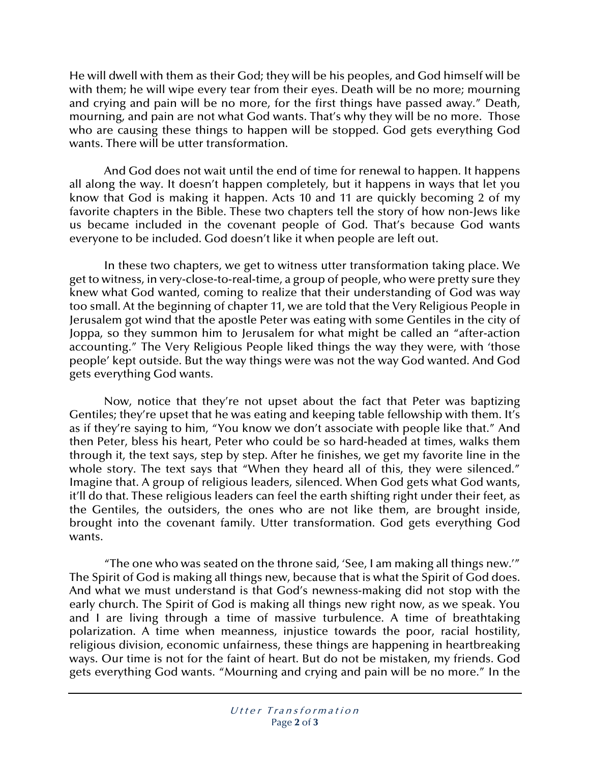He will dwell with them as their God; they will be his peoples, and God himself will be with them; he will wipe every tear from their eyes. Death will be no more; mourning and crying and pain will be no more, for the first things have passed away." Death, mourning, and pain are not what God wants. That's why they will be no more. Those who are causing these things to happen will be stopped. God gets everything God wants. There will be utter transformation.

And God does not wait until the end of time for renewal to happen. It happens all along the way. It doesn't happen completely, but it happens in ways that let you know that God is making it happen. Acts 10 and 11 are quickly becoming 2 of my favorite chapters in the Bible. These two chapters tell the story of how non-Jews like us became included in the covenant people of God. That's because God wants everyone to be included. God doesn't like it when people are left out.

In these two chapters, we get to witness utter transformation taking place. We get to witness, in very-close-to-real-time, a group of people, who were pretty sure they knew what God wanted, coming to realize that their understanding of God was way too small. At the beginning of chapter 11, we are told that the Very Religious People in Jerusalem got wind that the apostle Peter was eating with some Gentiles in the city of Joppa, so they summon him to Jerusalem for what might be called an "after-action accounting." The Very Religious People liked things the way they were, with 'those people' kept outside. But the way things were was not the way God wanted. And God gets everything God wants.

Now, notice that they're not upset about the fact that Peter was baptizing Gentiles; they're upset that he was eating and keeping table fellowship with them. It's as if they're saying to him, "You know we don't associate with people like that." And then Peter, bless his heart, Peter who could be so hard-headed at times, walks them through it, the text says, step by step. After he finishes, we get my favorite line in the whole story. The text says that "When they heard all of this, they were silenced." Imagine that. A group of religious leaders, silenced. When God gets what God wants, it'll do that. These religious leaders can feel the earth shifting right under their feet, as the Gentiles, the outsiders, the ones who are not like them, are brought inside, brought into the covenant family. Utter transformation. God gets everything God wants.

"The one who was seated on the throne said, 'See, I am making all things new.'" The Spirit of God is making all things new, because that is what the Spirit of God does. And what we must understand is that God's newness-making did not stop with the early church. The Spirit of God is making all things new right now, as we speak. You and I are living through a time of massive turbulence. A time of breathtaking polarization. A time when meanness, injustice towards the poor, racial hostility, religious division, economic unfairness, these things are happening in heartbreaking ways. Our time is not for the faint of heart. But do not be mistaken, my friends. God gets everything God wants. "Mourning and crying and pain will be no more." In the